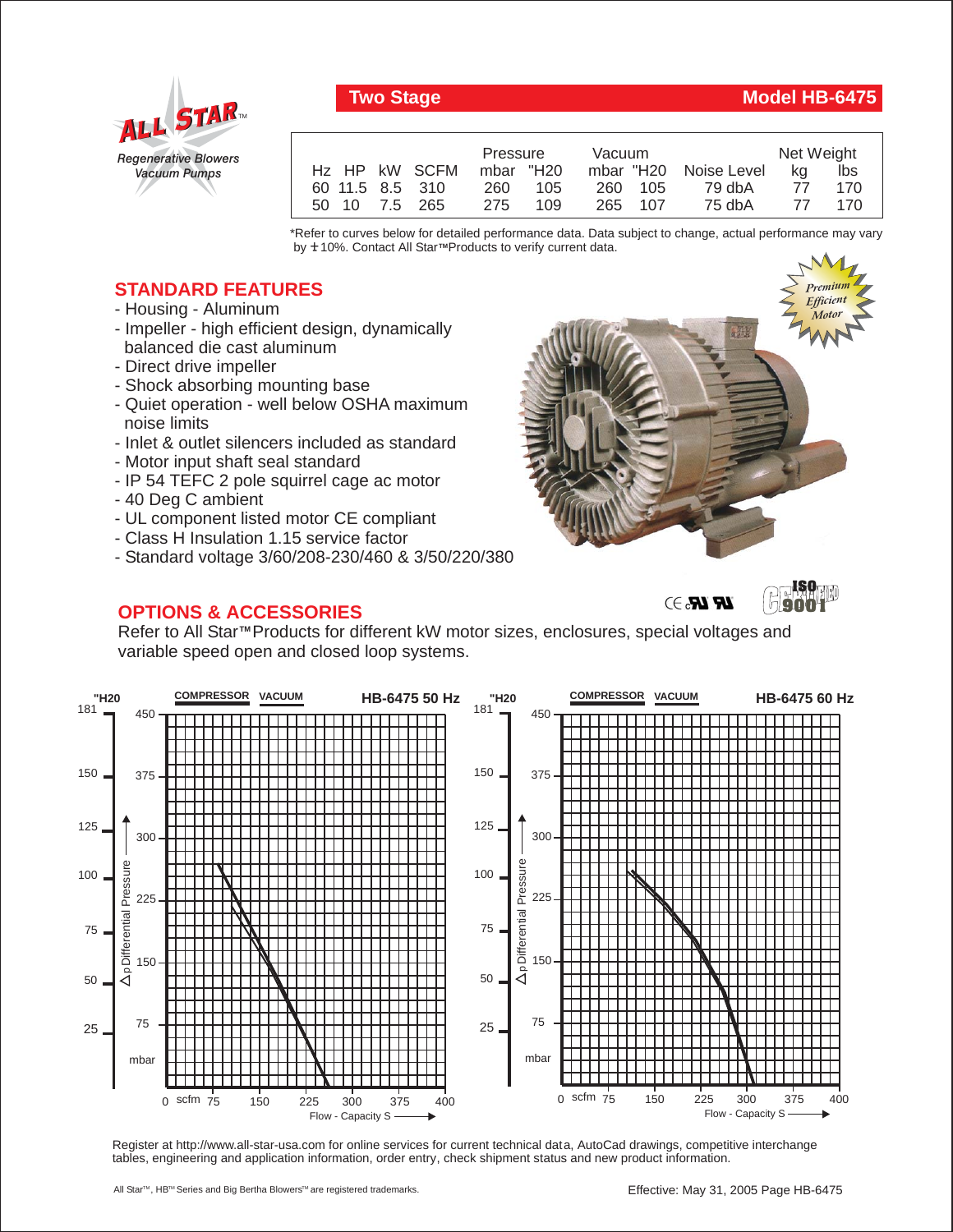

## **Two Stage Model HB-6475**

|                 | Pressure   | Vacuum  |                       | Net Weight |     |
|-----------------|------------|---------|-----------------------|------------|-----|
| Hz HP kW SCFM   | mbar "H20  |         | mbar "H20 Noise Level | ka         | lbs |
| 60 11.5 8.5 310 | 105<br>260 | 260 105 | 79 dbA                | 77         | 170 |
| 50 10 7.5 265   | 109<br>275 | 265 107 | 75 dbA                | 77         | 170 |

\*Refer to curves below for detailed performance data. Data subject to change, actual performance may vary by **+** 10%. Contact All Star™Products to verify current data.

## **STANDARD FEATURES**

- Housing Aluminum
- Impeller high efficient design, dynamically balanced die cast aluminum
- Direct drive impeller
- Shock absorbing mounting base
- Quiet operation well below OSHA maximum noise limits
- Inlet & outlet silencers included as standard
- Motor input shaft seal standard
- IP 54 TEFC 2 pole squirrel cage ac motor
- 40 Deg C ambient
- UL component listed motor CE compliant
- Class H Insulation 1.15 service factor
- Standard voltage 3/60/208-230/460 & 3/50/220/380

## **OPTIONS & ACCESSORIES**



 $\mathbf{LR}$   $\mathbf{LR}$ ,  $\supset$ 

**ISO 9001**

Refer to All Star<sup>™</sup> Products for different kW motor sizes, enclosures, special voltages and variable speed open and closed loop systems.



Register at http://www.all-star-usa.com for online services for current technical data, AutoCad drawings, competitive interchange tables, engineering and application information, order entry, check shipment status and new product information.